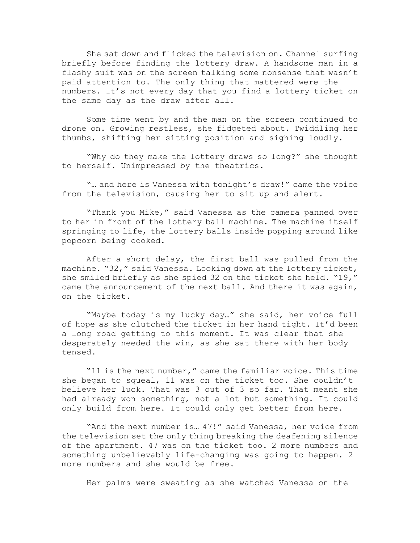She sat down and flicked the television on. Channel surfing briefly before finding the lottery draw. A handsome man in a flashy suit was on the screen talking some nonsense that wasn't paid attention to. The only thing that mattered were the numbers. It's not every day that you find a lottery ticket on the same day as the draw after all.

Some time went by and the man on the screen continued to drone on. Growing restless, she fidgeted about. Twiddling her thumbs, shifting her sitting position and sighing loudly.

"Why do they make the lottery draws so long?" she thought to herself. Unimpressed by the theatrics.

"... and here is Vanessa with tonight's draw!" came the voice from the television, causing her to sit up and alert.

"Thank you Mike," said Vanessa as the camera panned over to her in front of the lottery ball machine. The machine itself springing to life, the lottery balls inside popping around like popcorn being cooked.

After a short delay, the first ball was pulled from the machine. "32," said Vanessa. Looking down at the lottery ticket, she smiled briefly as she spied 32 on the ticket she held. "19," came the announcement of the next ball. And there it was again, on the ticket.

"Maybe today is my lucky day…" she said, her voice full of hope as she clutched the ticket in her hand tight. It'd been a long road getting to this moment. It was clear that she desperately needed the win, as she sat there with her body tensed.

"11 is the next number," came the familiar voice. This time she began to squeal, 11 was on the ticket too. She couldn't believe her luck. That was 3 out of 3 so far. That meant she had already won something, not a lot but something. It could only build from here. It could only get better from here.

"And the next number is… 47!" said Vanessa, her voice from the television set the only thing breaking the deafening silence of the apartment. 47 was on the ticket too. 2 more numbers and something unbelievably life-changing was going to happen. 2 more numbers and she would be free.

Her palms were sweating as she watched Vanessa on the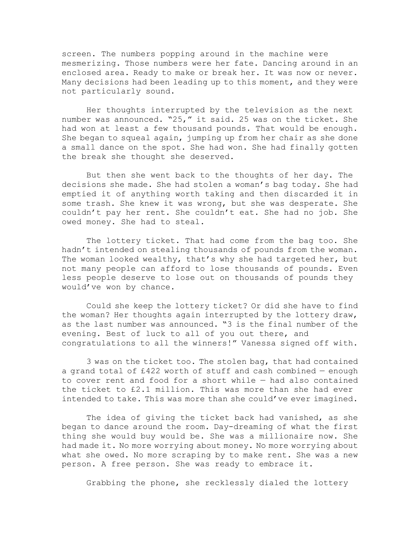screen. The numbers popping around in the machine were mesmerizing. Those numbers were her fate. Dancing around in an enclosed area. Ready to make or break her. It was now or never. Many decisions had been leading up to this moment, and they were not particularly sound.

Her thoughts interrupted by the television as the next number was announced. "25," it said. 25 was on the ticket. She had won at least a few thousand pounds. That would be enough. She began to squeal again, jumping up from her chair as she done a small dance on the spot. She had won. She had finally gotten the break she thought she deserved.

But then she went back to the thoughts of her day. The decisions she made. She had stolen a woman"s bag today. She had emptied it of anything worth taking and then discarded it in some trash. She knew it was wrong, but she was desperate. She couldn"t pay her rent. She couldn"t eat. She had no job. She owed money. She had to steal.

The lottery ticket. That had come from the bag too. She hadn't intended on stealing thousands of pounds from the woman. The woman looked wealthy, that's why she had targeted her, but not many people can afford to lose thousands of pounds. Even less people deserve to lose out on thousands of pounds they would"ve won by chance.

Could she keep the lottery ticket? Or did she have to find the woman? Her thoughts again interrupted by the lottery draw, as the last number was announced. "3 is the final number of the evening. Best of luck to all of you out there, and congratulations to all the winners!" Vanessa signed off with.

3 was on the ticket too. The stolen bag, that had contained a grand total of  $£422$  worth of stuff and cash combined  $-$  enough to cover rent and food for a short while — had also contained the ticket to £2.1 million. This was more than she had ever intended to take. This was more than she could've ever imagined.

The idea of giving the ticket back had vanished, as she began to dance around the room. Day-dreaming of what the first thing she would buy would be. She was a millionaire now. She had made it. No more worrying about money. No more worrying about what she owed. No more scraping by to make rent. She was a new person. A free person. She was ready to embrace it.

Grabbing the phone, she recklessly dialed the lottery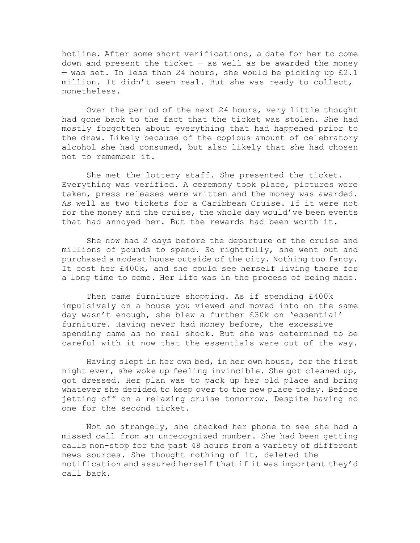hotline. After some short verifications, a date for her to come down and present the ticket  $-$  as well as be awarded the money - was set. In less than 24 hours, she would be picking up £2.1 million. It didn"t seem real. But she was ready to collect, nonetheless.

Over the period of the next 24 hours, very little thought had gone back to the fact that the ticket was stolen. She had mostly forgotten about everything that had happened prior to the draw. Likely because of the copious amount of celebratory alcohol she had consumed, but also likely that she had chosen not to remember it.

She met the lottery staff. She presented the ticket. Everything was verified. A ceremony took place, pictures were taken, press releases were written and the money was awarded. As well as two tickets for a Caribbean Cruise. If it were not for the money and the cruise, the whole day would've been events that had annoyed her. But the rewards had been worth it.

She now had 2 days before the departure of the cruise and millions of pounds to spend. So rightfully, she went out and purchased a modest house outside of the city. Nothing too fancy. It cost her £400k, and she could see herself living there for a long time to come. Her life was in the process of being made.

Then came furniture shopping. As if spending £400k impulsively on a house you viewed and moved into on the same day wasn't enough, she blew a further £30k on 'essential' furniture. Having never had money before, the excessive spending came as no real shock. But she was determined to be careful with it now that the essentials were out of the way.

Having slept in her own bed, in her own house, for the first night ever, she woke up feeling invincible. She got cleaned up, got dressed. Her plan was to pack up her old place and bring whatever she decided to keep over to the new place today. Before jetting off on a relaxing cruise tomorrow. Despite having no one for the second ticket.

Not so strangely, she checked her phone to see she had a missed call from an unrecognized number. She had been getting calls non-stop for the past 48 hours from a variety of different news sources. She thought nothing of it, deleted the notification and assured herself that if it was important they"d call back.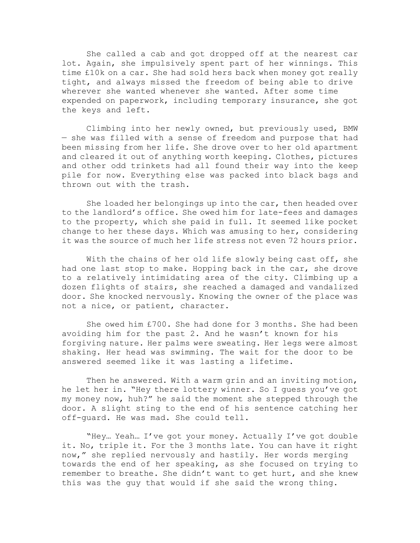She called a cab and got dropped off at the nearest car lot. Again, she impulsively spent part of her winnings. This time £10k on a car. She had sold hers back when money got really tight, and always missed the freedom of being able to drive wherever she wanted whenever she wanted. After some time expended on paperwork, including temporary insurance, she got the keys and left.

Climbing into her newly owned, but previously used, BMW — she was filled with a sense of freedom and purpose that had been missing from her life. She drove over to her old apartment and cleared it out of anything worth keeping. Clothes, pictures and other odd trinkets had all found their way into the keep pile for now. Everything else was packed into black bags and thrown out with the trash.

She loaded her belongings up into the car, then headed over to the landlord"s office. She owed him for late-fees and damages to the property, which she paid in full. It seemed like pocket change to her these days. Which was amusing to her, considering it was the source of much her life stress not even 72 hours prior.

With the chains of her old life slowly being cast off, she had one last stop to make. Hopping back in the car, she drove to a relatively intimidating area of the city. Climbing up a dozen flights of stairs, she reached a damaged and vandalized door. She knocked nervously. Knowing the owner of the place was not a nice, or patient, character.

She owed him £700. She had done for 3 months. She had been avoiding him for the past 2. And he wasn't known for his forgiving nature. Her palms were sweating. Her legs were almost shaking. Her head was swimming. The wait for the door to be answered seemed like it was lasting a lifetime.

Then he answered. With a warm grin and an inviting motion, he let her in. "Hey there lottery winner. So I guess you"ve got my money now, huh?" he said the moment she stepped through the door. A slight sting to the end of his sentence catching her off-guard. He was mad. She could tell.

"Hey… Yeah… I"ve got your money. Actually I"ve got double it. No, triple it. For the 3 months late. You can have it right now," she replied nervously and hastily. Her words merging towards the end of her speaking, as she focused on trying to remember to breathe. She didn"t want to get hurt, and she knew this was the guy that would if she said the wrong thing.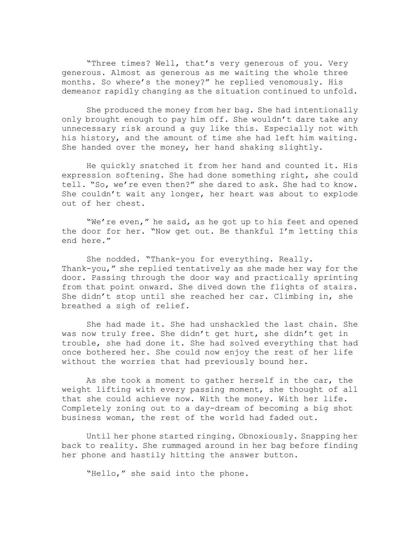"Three times? Well, that"s very generous of you. Very generous. Almost as generous as me waiting the whole three months. So where"s the money?" he replied venomously. His demeanor rapidly changing as the situation continued to unfold.

She produced the money from her bag. She had intentionally only brought enough to pay him off. She wouldn"t dare take any unnecessary risk around a guy like this. Especially not with his history, and the amount of time she had left him waiting. She handed over the money, her hand shaking slightly.

He quickly snatched it from her hand and counted it. His expression softening. She had done something right, she could tell. "So, we're even then?" she dared to ask. She had to know. She couldn"t wait any longer, her heart was about to explode out of her chest.

"We're even," he said, as he got up to his feet and opened the door for her. "Now get out. Be thankful I"m letting this end here."

She nodded. "Thank-you for everything. Really. Thank-you," she replied tentatively as she made her way for the door. Passing through the door way and practically sprinting from that point onward. She dived down the flights of stairs. She didn"t stop until she reached her car. Climbing in, she breathed a sigh of relief.

She had made it. She had unshackled the last chain. She was now truly free. She didn't get hurt, she didn't get in trouble, she had done it. She had solved everything that had once bothered her. She could now enjoy the rest of her life without the worries that had previously bound her.

As she took a moment to gather herself in the car, the weight lifting with every passing moment, she thought of all that she could achieve now. With the money. With her life. Completely zoning out to a day-dream of becoming a big shot business woman, the rest of the world had faded out.

Until her phone started ringing. Obnoxiously. Snapping her back to reality. She rummaged around in her bag before finding her phone and hastily hitting the answer button.

"Hello," she said into the phone.